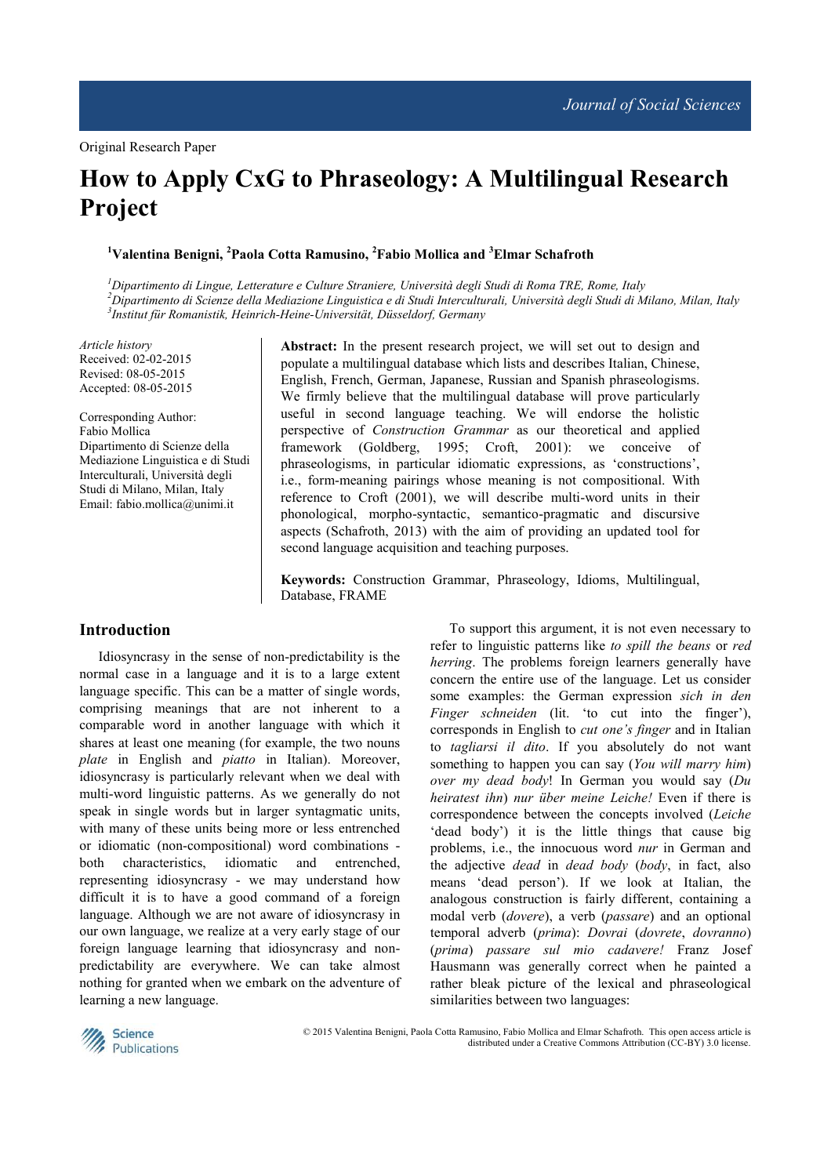# **How to Apply CxG to Phraseology: A Multilingual Research Project**

**<sup>1</sup>Valentina Benigni, <sup>2</sup>Paola Cotta Ramusino, <sup>2</sup>Fabio Mollica and <sup>3</sup>Elmar Schafroth**

*<sup>1</sup>Dipartimento di Lingue, Letterature e Culture Straniere, Università degli Studi di Roma TRE, Rome, Italy <sup>2</sup>Dipartimento di Scienze della Mediazione Linguistica e di Studi Interculturali, Università degli Studi di Milano, Milan, Italy 3 Institut für Romanistik, Heinrich-Heine-Universität, Düsseldorf, Germany* 

*Article history*  Received: 02-02-2015 Revised: 08-05-2015 Accepted: 08-05-2015

Corresponding Author: Fabio Mollica Dipartimento di Scienze della Mediazione Linguistica e di Studi Interculturali, Università degli Studi di Milano, Milan, Italy Email: fabio.mollica@unimi.it

**Abstract:** In the present research project, we will set out to design and populate a multilingual database which lists and describes Italian, Chinese, English, French, German, Japanese, Russian and Spanish phraseologisms. We firmly believe that the multilingual database will prove particularly useful in second language teaching. We will endorse the holistic perspective of *Construction Grammar* as our theoretical and applied framework (Goldberg, 1995; Croft, 2001): we conceive of phraseologisms, in particular idiomatic expressions, as 'constructions', i.e., form-meaning pairings whose meaning is not compositional. With reference to Croft (2001), we will describe multi-word units in their phonological, morpho-syntactic, semantico-pragmatic and discursive aspects (Schafroth, 2013) with the aim of providing an updated tool for second language acquisition and teaching purposes.

**Keywords:** Construction Grammar, Phraseology, Idioms, Multilingual, Database, FRAME

#### **Introduction**

Idiosyncrasy in the sense of non-predictability is the normal case in a language and it is to a large extent language specific. This can be a matter of single words, comprising meanings that are not inherent to a comparable word in another language with which it shares at least one meaning (for example, the two nouns *plate* in English and *piatto* in Italian). Moreover, idiosyncrasy is particularly relevant when we deal with multi-word linguistic patterns. As we generally do not speak in single words but in larger syntagmatic units, with many of these units being more or less entrenched or idiomatic (non-compositional) word combinations both characteristics, idiomatic and entrenched, representing idiosyncrasy - we may understand how difficult it is to have a good command of a foreign language. Although we are not aware of idiosyncrasy in our own language, we realize at a very early stage of our foreign language learning that idiosyncrasy and nonpredictability are everywhere. We can take almost nothing for granted when we embark on the adventure of learning a new language.

To support this argument, it is not even necessary to refer to linguistic patterns like *to spill the beans* or *red herring*. The problems foreign learners generally have concern the entire use of the language. Let us consider some examples: the German expression *sich in den Finger schneiden* (lit. 'to cut into the finger'), corresponds in English to *cut one's finger* and in Italian to *tagliarsi il dito*. If you absolutely do not want something to happen you can say (*You will marry him*) *over my dead body*! In German you would say (*Du heiratest ihn*) *nur über meine Leiche!* Even if there is correspondence between the concepts involved (*Leiche* 'dead body') it is the little things that cause big problems, i.e., the innocuous word *nur* in German and the adjective *dead* in *dead body* (*body*, in fact, also means 'dead person'). If we look at Italian, the analogous construction is fairly different, containing a modal verb (*dovere*), a verb (*passare*) and an optional temporal adverb (*prima*): *Dovrai* (*dovrete*, *dovranno*) (*prima*) *passare sul mio cadavere!* Franz Josef Hausmann was generally correct when he painted a rather bleak picture of the lexical and phraseological similarities between two languages:



 © 2015 Valentina Benigni, Paola Cotta Ramusino, Fabio Mollica and Elmar Schafroth. This open access article is distributed under a Creative Commons Attribution (CC-BY) 3.0 license.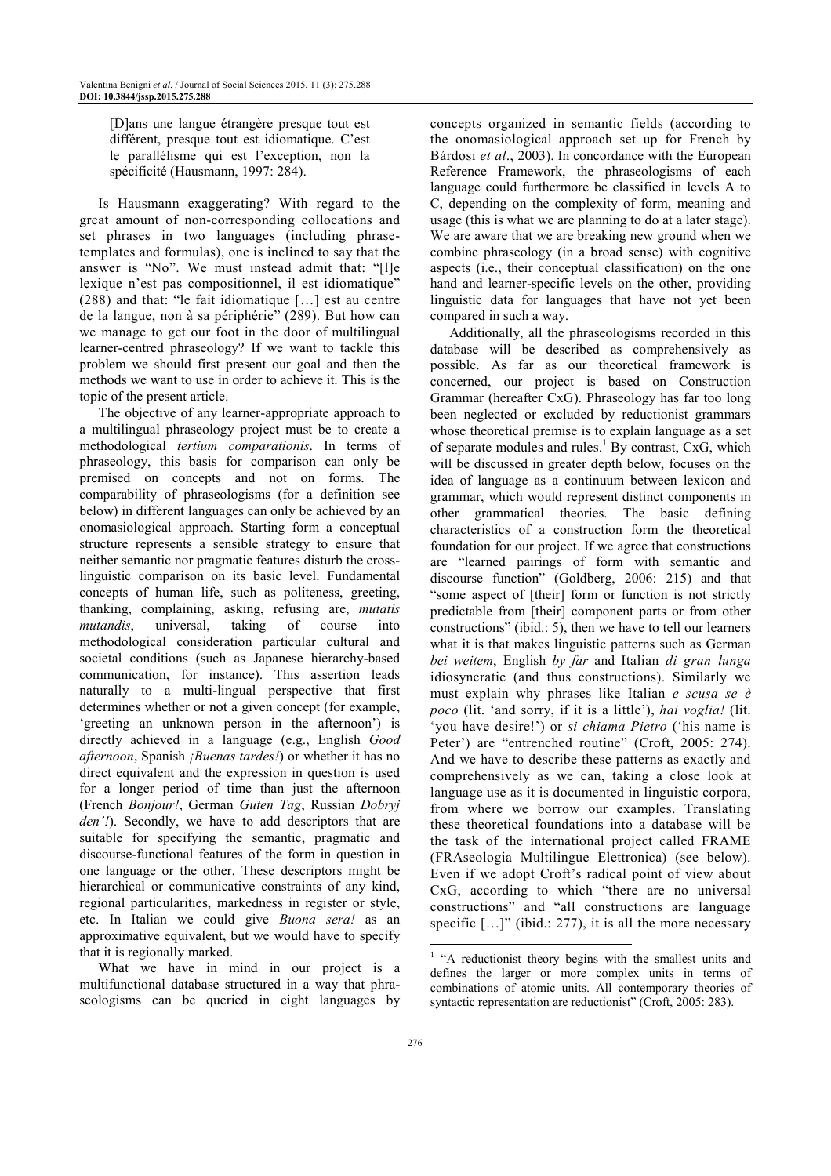[D]ans une langue étrangère presque tout est différent, presque tout est idiomatique. C'est le parallélisme qui est l'exception, non la spécificité (Hausmann, 1997: 284).

Is Hausmann exaggerating? With regard to the great amount of non-corresponding collocations and set phrases in two languages (including phrasetemplates and formulas), one is inclined to say that the answer is "No". We must instead admit that: "[l]e lexique n'est pas compositionnel, il est idiomatique" (288) and that: "le fait idiomatique […] est au centre de la langue, non à sa périphérie" (289). But how can we manage to get our foot in the door of multilingual learner-centred phraseology? If we want to tackle this problem we should first present our goal and then the methods we want to use in order to achieve it. This is the topic of the present article.

The objective of any learner-appropriate approach to a multilingual phraseology project must be to create a methodological *tertium comparationis*. In terms of phraseology, this basis for comparison can only be premised on concepts and not on forms. The comparability of phraseologisms (for a definition see below) in different languages can only be achieved by an onomasiological approach. Starting form a conceptual structure represents a sensible strategy to ensure that neither semantic nor pragmatic features disturb the crosslinguistic comparison on its basic level. Fundamental concepts of human life, such as politeness, greeting, thanking, complaining, asking, refusing are, *mutatis mutandis*, universal, taking of course into methodological consideration particular cultural and societal conditions (such as Japanese hierarchy-based communication, for instance). This assertion leads naturally to a multi-lingual perspective that first determines whether or not a given concept (for example, 'greeting an unknown person in the afternoon') is directly achieved in a language (e.g., English *Good afternoon*, Spanish *¡Buenas tardes!*) or whether it has no direct equivalent and the expression in question is used for a longer period of time than just the afternoon (French *Bonjour!*, German *Guten Tag*, Russian *Dobryj den'!*). Secondly, we have to add descriptors that are suitable for specifying the semantic, pragmatic and discourse-functional features of the form in question in one language or the other. These descriptors might be hierarchical or communicative constraints of any kind, regional particularities, markedness in register or style, etc. In Italian we could give *Buona sera!* as an approximative equivalent, but we would have to specify that it is regionally marked.

What we have in mind in our project is a multifunctional database structured in a way that phraseologisms can be queried in eight languages by

concepts organized in semantic fields (according to the onomasiological approach set up for French by Bárdosi *et al*., 2003). In concordance with the European Reference Framework, the phraseologisms of each language could furthermore be classified in levels A to C, depending on the complexity of form, meaning and usage (this is what we are planning to do at a later stage). We are aware that we are breaking new ground when we combine phraseology (in a broad sense) with cognitive aspects (i.e., their conceptual classification) on the one hand and learner-specific levels on the other, providing linguistic data for languages that have not yet been compared in such a way.

Additionally, all the phraseologisms recorded in this database will be described as comprehensively as possible. As far as our theoretical framework is concerned, our project is based on Construction Grammar (hereafter CxG). Phraseology has far too long been neglected or excluded by reductionist grammars whose theoretical premise is to explain language as a set of separate modules and rules.<sup>1</sup> By contrast, CxG, which will be discussed in greater depth below, focuses on the idea of language as a continuum between lexicon and grammar, which would represent distinct components in other grammatical theories. The basic defining characteristics of a construction form the theoretical foundation for our project. If we agree that constructions are "learned pairings of form with semantic and discourse function" (Goldberg, 2006: 215) and that "some aspect of [their] form or function is not strictly predictable from [their] component parts or from other constructions" (ibid.: 5), then we have to tell our learners what it is that makes linguistic patterns such as German *bei weitem*, English *by far* and Italian *di gran lunga* idiosyncratic (and thus constructions). Similarly we must explain why phrases like Italian *e scusa se è poco* (lit. 'and sorry, if it is a little'), *hai voglia!* (lit. 'you have desire!') or *si chiama Pietro* ('his name is Peter') are "entrenched routine" (Croft, 2005: 274). And we have to describe these patterns as exactly and comprehensively as we can, taking a close look at language use as it is documented in linguistic corpora, from where we borrow our examples. Translating these theoretical foundations into a database will be the task of the international project called FRAME (FRAseologia Multilingue Elettronica) (see below). Even if we adopt Croft's radical point of view about CxG, according to which "there are no universal constructions" and "all constructions are language specific  $[\dots]$ " (ibid.: 277), it is all the more necessary

<sup>&</sup>lt;sup>1</sup> "A reductionist theory begins with the smallest units and defines the larger or more complex units in terms of combinations of atomic units. All contemporary theories of syntactic representation are reductionist" (Croft, 2005: 283).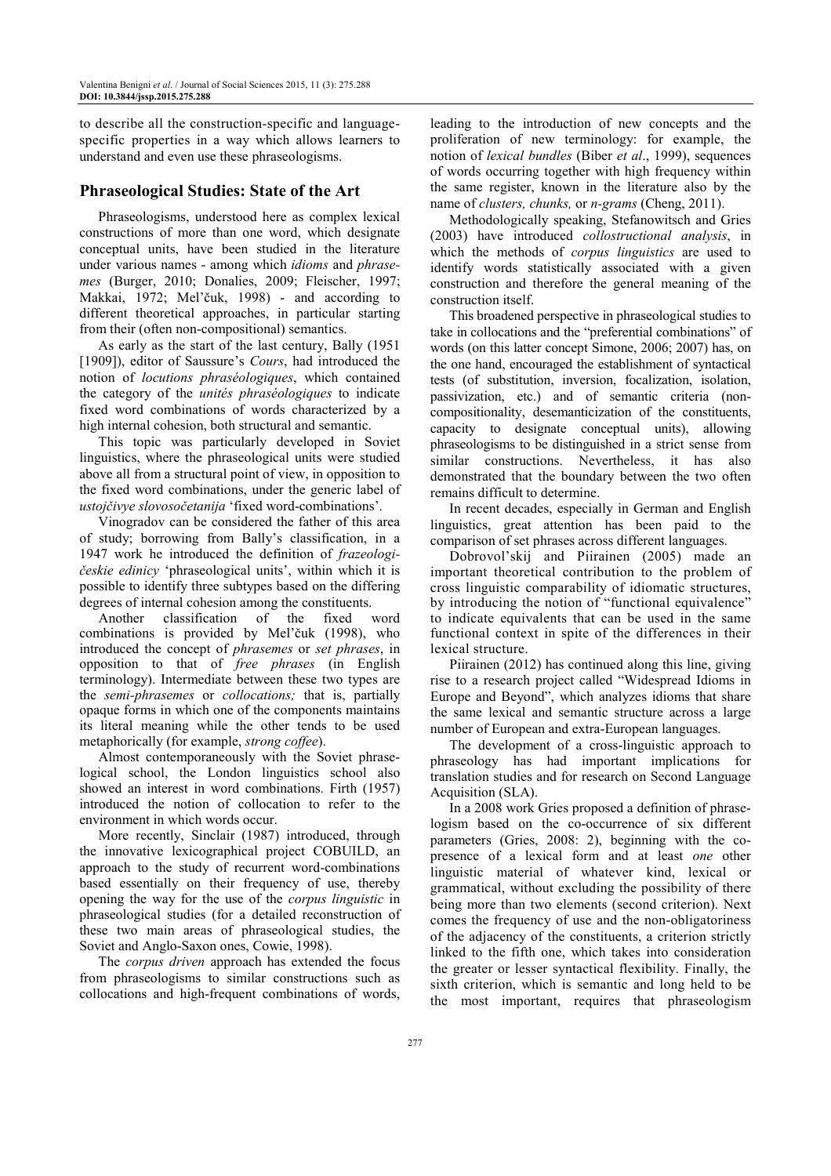to describe all the construction-specific and languagespecific properties in a way which allows learners to understand and even use these phraseologisms.

#### **Phraseological Studies: State of the Art**

Phraseologisms, understood here as complex lexical constructions of more than one word, which designate conceptual units, have been studied in the literature under various names - among which *idioms* and *phrasemes* (Burger, 2010; Donalies, 2009; Fleischer, 1997; Makkai, 1972; Mel'čuk, 1998) - and according to different theoretical approaches, in particular starting from their (often non-compositional) semantics.

As early as the start of the last century, Bally (1951 [1909]), editor of Saussure's *Cours*, had introduced the notion of *locutions phraséologiques*, which contained the category of the *unités phraséologiques* to indicate fixed word combinations of words characterized by a high internal cohesion, both structural and semantic.

This topic was particularly developed in Soviet linguistics, where the phraseological units were studied above all from a structural point of view, in opposition to the fixed word combinations, under the generic label of *ustojčivye slovosočetanija* 'fixed word-combinations'.

Vinogradov can be considered the father of this area of study; borrowing from Bally's classification, in a 1947 work he introduced the definition of *frazeologičeskie edinicy* 'phraseological units', within which it is possible to identify three subtypes based on the differing degrees of internal cohesion among the constituents.

Another classification of the fixed word combinations is provided by Mel'čuk (1998), who introduced the concept of *phrasemes* or *set phrases*, in opposition to that of *free phrases* (in English terminology). Intermediate between these two types are the *semi-phrasemes* or *collocations;* that is, partially opaque forms in which one of the components maintains its literal meaning while the other tends to be used metaphorically (for example, *strong coffee*).

Almost contemporaneously with the Soviet phraselogical school, the London linguistics school also showed an interest in word combinations. Firth (1957) introduced the notion of collocation to refer to the environment in which words occur.

More recently, Sinclair (1987) introduced, through the innovative lexicographical project COBUILD, an approach to the study of recurrent word-combinations based essentially on their frequency of use, thereby opening the way for the use of the *corpus linguistic* in phraseological studies (for a detailed reconstruction of these two main areas of phraseological studies, the Soviet and Anglo-Saxon ones, Cowie, 1998).

The *corpus driven* approach has extended the focus from phraseologisms to similar constructions such as collocations and high-frequent combinations of words,

leading to the introduction of new concepts and the proliferation of new terminology: for example, the notion of *lexical bundles* (Biber *et al*., 1999), sequences of words occurring together with high frequency within the same register, known in the literature also by the name of *clusters, chunks,* or *n-grams* (Cheng, 2011).

Methodologically speaking, Stefanowitsch and Gries (2003) have introduced *collostructional analysis*, in which the methods of *corpus linguistics* are used to identify words statistically associated with a given construction and therefore the general meaning of the construction itself.

This broadened perspective in phraseological studies to take in collocations and the "preferential combinations" of words (on this latter concept Simone, 2006; 2007) has, on the one hand, encouraged the establishment of syntactical tests (of substitution, inversion, focalization, isolation, passivization, etc.) and of semantic criteria (noncompositionality, desemanticization of the constituents, capacity to designate conceptual units), allowing phraseologisms to be distinguished in a strict sense from similar constructions. Nevertheless, it has also demonstrated that the boundary between the two often remains difficult to determine.

In recent decades, especially in German and English linguistics, great attention has been paid to the comparison of set phrases across different languages.

Dobrovol'skij and Piirainen (2005) made an important theoretical contribution to the problem of cross linguistic comparability of idiomatic structures, by introducing the notion of "functional equivalence" to indicate equivalents that can be used in the same functional context in spite of the differences in their lexical structure.

Piirainen (2012) has continued along this line, giving rise to a research project called "Widespread Idioms in Europe and Beyond", which analyzes idioms that share the same lexical and semantic structure across a large number of European and extra-European languages.

The development of a cross-linguistic approach to phraseology has had important implications for translation studies and for research on Second Language Acquisition (SLA).

In a 2008 work Gries proposed a definition of phraselogism based on the co-occurrence of six different parameters (Gries, 2008: 2), beginning with the copresence of a lexical form and at least *one* other linguistic material of whatever kind, lexical or grammatical, without excluding the possibility of there being more than two elements (second criterion). Next comes the frequency of use and the non-obligatoriness of the adjacency of the constituents, a criterion strictly linked to the fifth one, which takes into consideration the greater or lesser syntactical flexibility. Finally, the sixth criterion, which is semantic and long held to be the most important, requires that phraseologism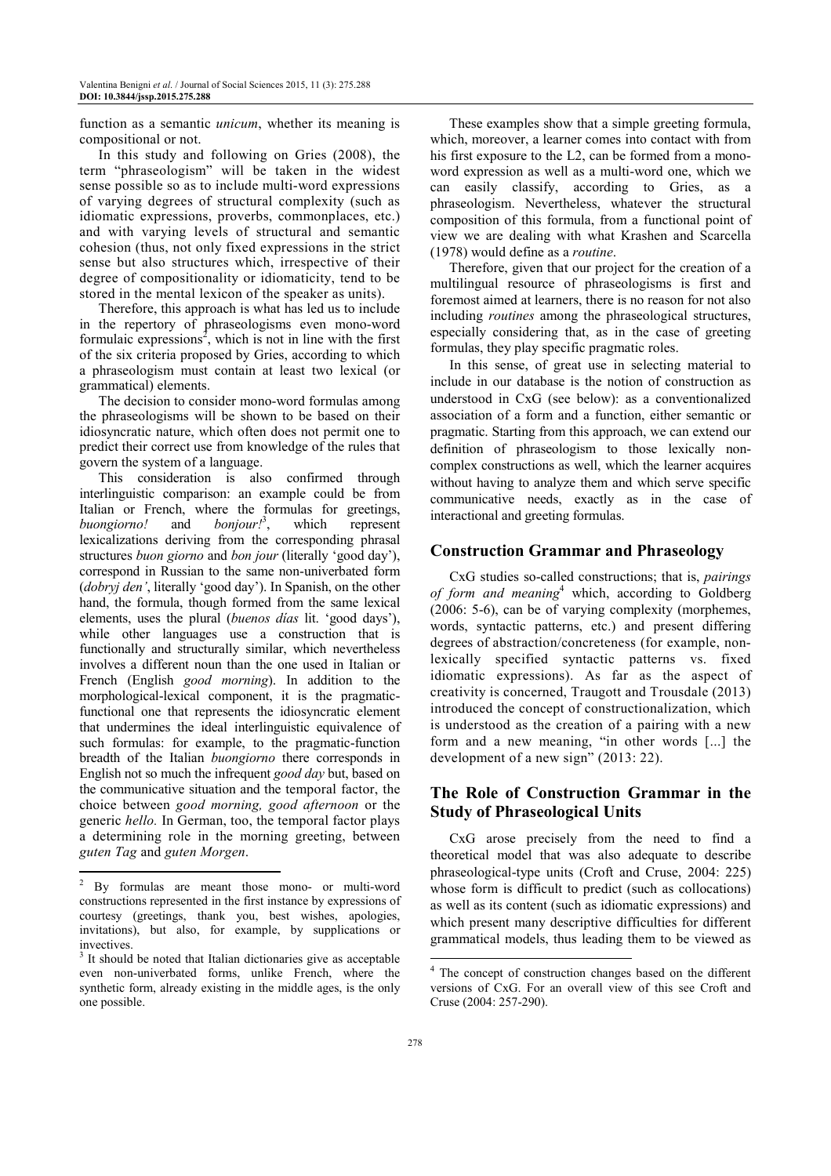function as a semantic *unicum*, whether its meaning is compositional or not.

In this study and following on Gries (2008), the term "phraseologism" will be taken in the widest sense possible so as to include multi-word expressions of varying degrees of structural complexity (such as idiomatic expressions, proverbs, commonplaces, etc.) and with varying levels of structural and semantic cohesion (thus, not only fixed expressions in the strict sense but also structures which, irrespective of their degree of compositionality or idiomaticity, tend to be stored in the mental lexicon of the speaker as units).

Therefore, this approach is what has led us to include in the repertory of phraseologisms even mono-word formulaic expressions<sup>2</sup>, which is not in line with the first of the six criteria proposed by Gries, according to which a phraseologism must contain at least two lexical (or grammatical) elements.

The decision to consider mono-word formulas among the phraseologisms will be shown to be based on their idiosyncratic nature, which often does not permit one to predict their correct use from knowledge of the rules that govern the system of a language.

This consideration is also confirmed through interlinguistic comparison: an example could be from Italian or French, where the formulas for greetings, *buongiorno!* and *bonjour!*<sup>3</sup>, which represent *buongiorno!* and , which represent lexicalizations deriving from the corresponding phrasal structures *buon giorno* and *bon jour* (literally 'good day'), correspond in Russian to the same non-univerbated form (*dobryj den'*, literally 'good day'). In Spanish, on the other hand, the formula, though formed from the same lexical elements, uses the plural (*buenos días* lit. 'good days'), while other languages use a construction that is functionally and structurally similar, which nevertheless involves a different noun than the one used in Italian or French (English *good morning*). In addition to the morphological-lexical component, it is the pragmaticfunctional one that represents the idiosyncratic element that undermines the ideal interlinguistic equivalence of such formulas: for example, to the pragmatic-function breadth of the Italian *buongiorno* there corresponds in English not so much the infrequent *good day* but, based on the communicative situation and the temporal factor, the choice between *good morning, good afternoon* or the generic *hello.* In German, too, the temporal factor plays a determining role in the morning greeting, between *guten Tag* and *guten Morgen*.  $\overline{a}$ 

These examples show that a simple greeting formula, which, moreover, a learner comes into contact with from his first exposure to the L2, can be formed from a monoword expression as well as a multi-word one, which we can easily classify, according to Gries, as a phraseologism. Nevertheless, whatever the structural composition of this formula, from a functional point of view we are dealing with what Krashen and Scarcella (1978) would define as a *routine*.

Therefore, given that our project for the creation of a multilingual resource of phraseologisms is first and foremost aimed at learners, there is no reason for not also including *routines* among the phraseological structures, especially considering that, as in the case of greeting formulas, they play specific pragmatic roles.

In this sense, of great use in selecting material to include in our database is the notion of construction as understood in CxG (see below): as a conventionalized association of a form and a function, either semantic or pragmatic. Starting from this approach, we can extend our definition of phraseologism to those lexically noncomplex constructions as well, which the learner acquires without having to analyze them and which serve specific communicative needs, exactly as in the case of interactional and greeting formulas.

#### **Construction Grammar and Phraseology**

CxG studies so-called constructions; that is, *pairings of form and meaning*<sup>4</sup> which, according to Goldberg (2006: 5-6), can be of varying complexity (morphemes, words, syntactic patterns, etc.) and present differing degrees of abstraction/concreteness (for example, nonlexically specified syntactic patterns vs. fixed idiomatic expressions). As far as the aspect of creativity is concerned, Traugott and Trousdale (2013) introduced the concept of constructionalization, which is understood as the creation of a pairing with a new form and a new meaning, "in other words [...] the development of a new sign" (2013: 22).

## **The Role of Construction Grammar in the Study of Phraseological Units**

CxG arose precisely from the need to find a theoretical model that was also adequate to describe phraseological-type units (Croft and Cruse, 2004: 225) whose form is difficult to predict (such as collocations) as well as its content (such as idiomatic expressions) and which present many descriptive difficulties for different grammatical models, thus leading them to be viewed as

Į

<sup>&</sup>lt;sup>2</sup> By formulas are meant those mono- or multi-word constructions represented in the first instance by expressions of courtesy (greetings, thank you, best wishes, apologies, invitations), but also, for example, by supplications or invectives.

<sup>&</sup>lt;sup>3</sup> It should be noted that Italian dictionaries give as acceptable even non-univerbated forms, unlike French, where the synthetic form, already existing in the middle ages, is the only one possible.

<sup>4</sup> The concept of construction changes based on the different versions of CxG. For an overall view of this see Croft and Cruse (2004: 257-290).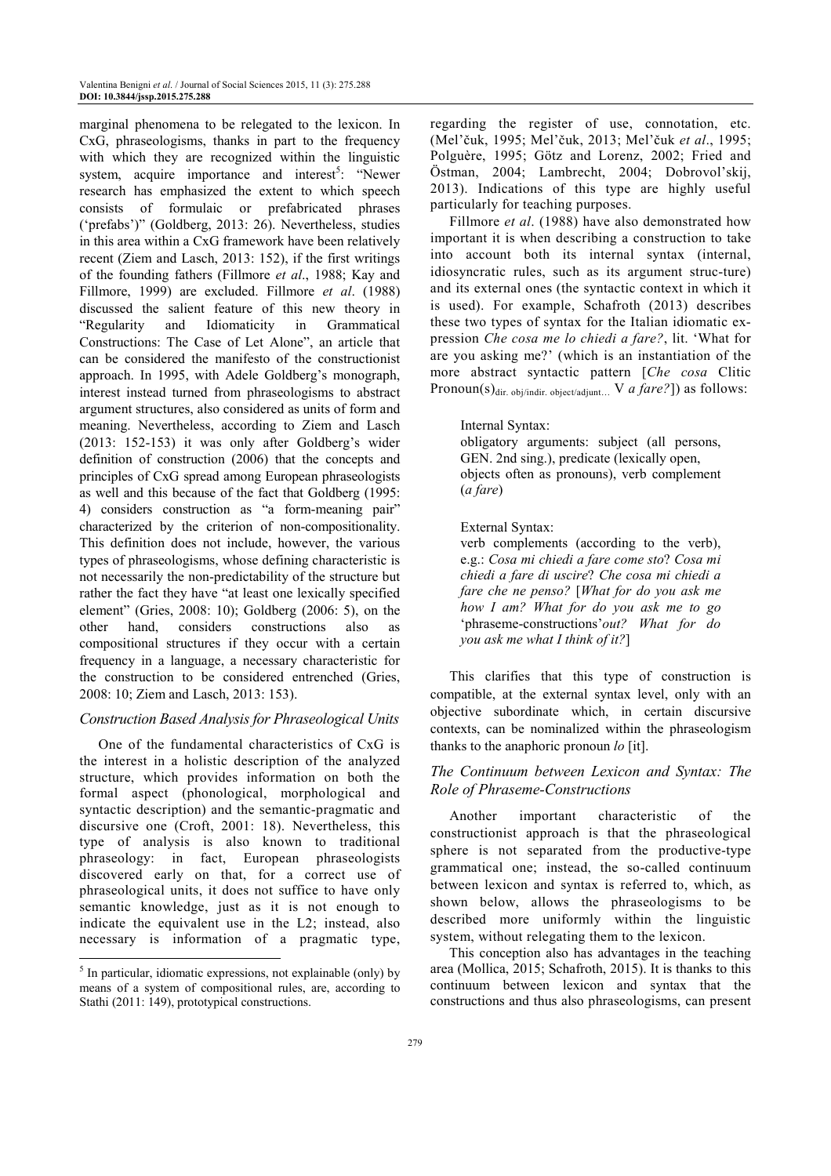marginal phenomena to be relegated to the lexicon. In CxG, phraseologisms, thanks in part to the frequency with which they are recognized within the linguistic system, acquire importance and interest<sup>5</sup>: "Newer research has emphasized the extent to which speech consists of formulaic or prefabricated phrases ('prefabs')" (Goldberg, 2013: 26). Nevertheless, studies in this area within a CxG framework have been relatively recent (Ziem and Lasch, 2013: 152), if the first writings of the founding fathers (Fillmore *et al*., 1988; Kay and Fillmore, 1999) are excluded. Fillmore *et al*. (1988) discussed the salient feature of this new theory in "Regularity and Idiomaticity in Grammatical Constructions: The Case of Let Alone", an article that can be considered the manifesto of the constructionist approach. In 1995, with Adele Goldberg's monograph, interest instead turned from phraseologisms to abstract argument structures, also considered as units of form and meaning. Nevertheless, according to Ziem and Lasch (2013: 152-153) it was only after Goldberg's wider definition of construction (2006) that the concepts and principles of CxG spread among European phraseologists as well and this because of the fact that Goldberg (1995: 4) considers construction as "a form-meaning pair" characterized by the criterion of non-compositionality. This definition does not include, however, the various types of phraseologisms, whose defining characteristic is not necessarily the non-predictability of the structure but rather the fact they have "at least one lexically specified element" (Gries, 2008: 10); Goldberg (2006: 5), on the other hand, considers constructions also as compositional structures if they occur with a certain frequency in a language, a necessary characteristic for the construction to be considered entrenched (Gries, 2008: 10; Ziem and Lasch, 2013: 153).

#### *Construction Based Analysis for Phraseological Units*

One of the fundamental characteristics of CxG is the interest in a holistic description of the analyzed structure, which provides information on both the formal aspect (phonological, morphological and syntactic description) and the semantic-pragmatic and discursive one (Croft, 2001: 18). Nevertheless, this type of analysis is also known to traditional phraseology: in fact, European phraseologists discovered early on that, for a correct use of phraseological units, it does not suffice to have only semantic knowledge, just as it is not enough to indicate the equivalent use in the L2; instead, also necessary is information of a pragmatic type, l

regarding the register of use, connotation, etc. (Mel'čuk, 1995; Mel'čuk, 2013; Mel'čuk *et al*., 1995; Polguère, 1995; Götz and Lorenz, 2002; Fried and Östman, 2004; Lambrecht, 2004; Dobrovol'skij, 2013). Indications of this type are highly useful particularly for teaching purposes.

Fillmore *et al*. (1988) have also demonstrated how important it is when describing a construction to take into account both its internal syntax (internal, idiosyncratic rules, such as its argument struc-ture) and its external ones (the syntactic context in which it is used). For example, Schafroth (2013) describes these two types of syntax for the Italian idiomatic expression *Che cosa me lo chiedi a fare?*, lit. 'What for are you asking me?' (which is an instantiation of the more abstract syntactic pattern [*Che cosa* Clitic Pronoun(s)<sub>dir. obj/indir. object/adjunt...</sub> V *a fare?*]) as follows:

#### Internal Syntax:

obligatory arguments: subject (all persons, GEN. 2nd sing.), predicate (lexically open, objects often as pronouns), verb complement (*a fare*)

#### External Syntax:

verb complements (according to the verb), e.g.: *Cosa mi chiedi a fare come sto*? *Cosa mi chiedi a fare di uscire*? *Che cosa mi chiedi a fare che ne penso?* [*What for do you ask me how I am? What for do you ask me to go*  'phraseme-constructions'*out? What for do you ask me what I think of it?*]

This clarifies that this type of construction is compatible, at the external syntax level, only with an objective subordinate which, in certain discursive contexts, can be nominalized within the phraseologism thanks to the anaphoric pronoun *lo* [it].

#### *The Continuum between Lexicon and Syntax: The Role of Phraseme-Constructions*

Another important characteristic of the constructionist approach is that the phraseological sphere is not separated from the productive-type grammatical one; instead, the so-called continuum between lexicon and syntax is referred to, which, as shown below, allows the phraseologisms to be described more uniformly within the linguistic system, without relegating them to the lexicon.

This conception also has advantages in the teaching area (Mollica, 2015; Schafroth, 2015). It is thanks to this continuum between lexicon and syntax that the constructions and thus also phraseologisms, can present

<sup>&</sup>lt;sup>5</sup> In particular, idiomatic expressions, not explainable (only) by means of a system of compositional rules, are, according to Stathi (2011: 149), prototypical constructions.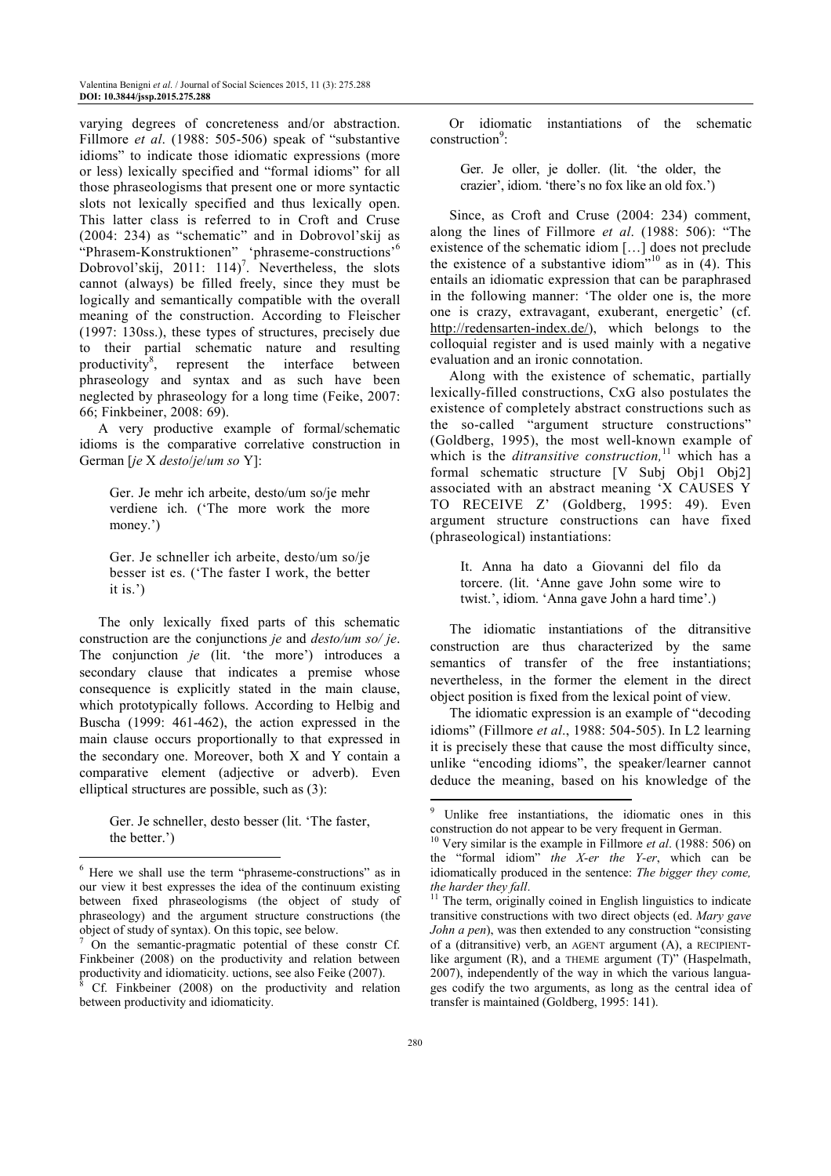varying degrees of concreteness and/or abstraction. Fillmore *et al*. (1988: 505-506) speak of "substantive idioms" to indicate those idiomatic expressions (more or less) lexically specified and "formal idioms" for all those phraseologisms that present one or more syntactic slots not lexically specified and thus lexically open. This latter class is referred to in Croft and Cruse (2004: 234) as "schematic" and in Dobrovol'skij as "Phrasem-Konstruktionen" 'phraseme-constructions'<sup>6</sup> Dobrovol'skij, 2011:  $114$ <sup>7</sup>. Nevertheless, the slots cannot (always) be filled freely, since they must be logically and semantically compatible with the overall meaning of the construction. According to Fleischer (1997: 130ss.), these types of structures, precisely due to their partial schematic nature and resulting productivity<sup>8</sup>, represent the interface between phraseology and syntax and as such have been neglected by phraseology for a long time (Feike, 2007: 66; Finkbeiner, 2008: 69).

A very productive example of formal/schematic idioms is the comparative correlative construction in German [*je* X *desto*/*je*/*um so* Y]:

Ger. Je mehr ich arbeite, desto/um so/je mehr verdiene ich. ('The more work the more money.')

Ger. Je schneller ich arbeite, desto/um so/je besser ist es. ('The faster I work, the better it is.')

The only lexically fixed parts of this schematic construction are the conjunctions *je* and *desto/um so/ je*. The conjunction *je* (lit. 'the more') introduces a secondary clause that indicates a premise whose consequence is explicitly stated in the main clause, which prototypically follows. According to Helbig and Buscha (1999: 461-462), the action expressed in the main clause occurs proportionally to that expressed in the secondary one. Moreover, both X and Y contain a comparative element (adjective or adverb). Even elliptical structures are possible, such as (3):

Ger. Je schneller, desto besser (lit. 'The faster, the better.')

l

Or idiomatic instantiations of the schematic construction<sup>9</sup>:

Ger. Je oller, je doller. (lit. 'the older, the crazier', idiom. 'there's no fox like an old fox.')

Since, as Croft and Cruse (2004: 234) comment, along the lines of Fillmore *et al*. (1988: 506): "The existence of the schematic idiom […] does not preclude the existence of a substantive idiom<sup> $10$ </sup> as in (4). This entails an idiomatic expression that can be paraphrased in the following manner: 'The older one is, the more one is crazy, extravagant, exuberant, energetic' (cf. http://redensarten-index.de/), which belongs to the colloquial register and is used mainly with a negative evaluation and an ironic connotation.

Along with the existence of schematic, partially lexically-filled constructions, CxG also postulates the existence of completely abstract constructions such as the so-called "argument structure constructions" (Goldberg, 1995), the most well-known example of which is the *ditransitive construction*,<sup>11</sup> which has a formal schematic structure [V Subj Obj1 Obj2] associated with an abstract meaning 'X CAUSES Y TO RECEIVE Z' (Goldberg, 1995: 49). Even argument structure constructions can have fixed (phraseological) instantiations:

It. Anna ha dato a Giovanni del filo da torcere. (lit. 'Anne gave John some wire to twist.', idiom. 'Anna gave John a hard time'.)

The idiomatic instantiations of the ditransitive construction are thus characterized by the same semantics of transfer of the free instantiations; nevertheless, in the former the element in the direct object position is fixed from the lexical point of view.

The idiomatic expression is an example of "decoding idioms" (Fillmore *et al*., 1988: 504-505). In L2 learning it is precisely these that cause the most difficulty since, unlike "encoding idioms", the speaker/learner cannot deduce the meaning, based on his knowledge of the  $\overline{a}$ 

<sup>6</sup> Here we shall use the term "phraseme-constructions" as in our view it best expresses the idea of the continuum existing between fixed phraseologisms (the object of study of phraseology) and the argument structure constructions (the object of study of syntax). On this topic, see below.

<sup>&</sup>lt;sup>7</sup> On the semantic-pragmatic potential of these constr Cf. Finkbeiner (2008) on the productivity and relation between productivity and idiomaticity. uctions, see also Feike (2007).<br><sup>8</sup> Cf. Einkheiner (2008), on the productivity and relati

Cf. Finkbeiner (2008) on the productivity and relation between productivity and idiomaticity.

<sup>9</sup> Unlike free instantiations, the idiomatic ones in this construction do not appear to be very frequent in German.

<sup>10</sup> Very similar is the example in Fillmore *et al*. (1988: 506) on the "formal idiom" *the X-er the Y-er*, which can be idiomatically produced in the sentence: *The bigger they come, the harder they fall*.

<sup>&</sup>lt;sup>11</sup> The term, originally coined in English linguistics to indicate transitive constructions with two direct objects (ed. *Mary gave John a pen*), was then extended to any construction "consisting of a (ditransitive) verb, an AGENT argument (A), a RECIPIENTlike argument (R), and a THEME argument (T)" (Haspelmath, 2007), independently of the way in which the various languages codify the two arguments, as long as the central idea of transfer is maintained (Goldberg, 1995: 141).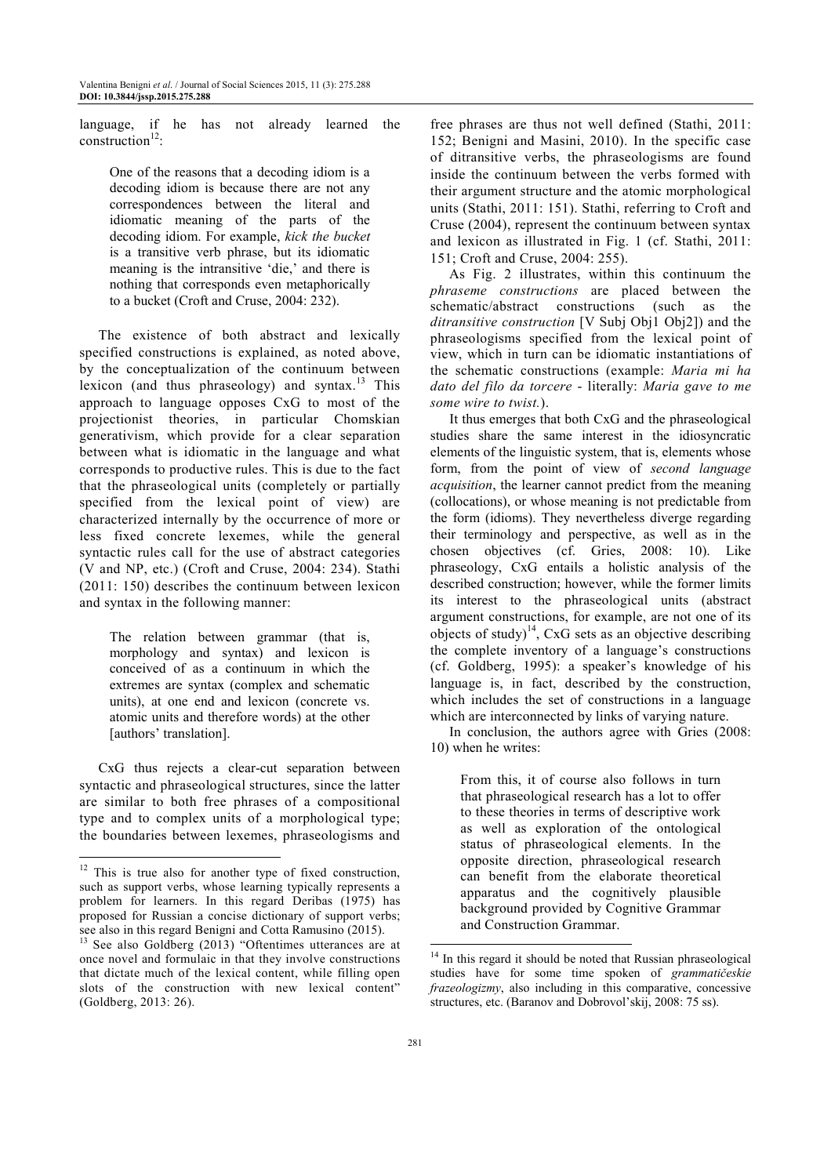language, if he has not already learned the construction $12$ :

One of the reasons that a decoding idiom is a decoding idiom is because there are not any correspondences between the literal and idiomatic meaning of the parts of the decoding idiom. For example, *kick the bucket* is a transitive verb phrase, but its idiomatic meaning is the intransitive 'die,' and there is nothing that corresponds even metaphorically to a bucket (Croft and Cruse, 2004: 232).

The existence of both abstract and lexically specified constructions is explained, as noted above, by the conceptualization of the continuum between lexicon (and thus phraseology) and syntax.<sup>13</sup> This approach to language opposes CxG to most of the projectionist theories, in particular Chomskian generativism, which provide for a clear separation between what is idiomatic in the language and what corresponds to productive rules. This is due to the fact that the phraseological units (completely or partially specified from the lexical point of view) are characterized internally by the occurrence of more or less fixed concrete lexemes, while the general syntactic rules call for the use of abstract categories (V and NP, etc.) (Croft and Cruse, 2004: 234). Stathi (2011: 150) describes the continuum between lexicon and syntax in the following manner:

The relation between grammar (that is, morphology and syntax) and lexicon is conceived of as a continuum in which the extremes are syntax (complex and schematic units), at one end and lexicon (concrete vs. atomic units and therefore words) at the other [authors' translation].

CxG thus rejects a clear-cut separation between syntactic and phraseological structures, since the latter are similar to both free phrases of a compositional type and to complex units of a morphological type; the boundaries between lexemes, phraseologisms and

l

free phrases are thus not well defined (Stathi, 2011: 152; Benigni and Masini, 2010). In the specific case of ditransitive verbs, the phraseologisms are found inside the continuum between the verbs formed with their argument structure and the atomic morphological units (Stathi, 2011: 151). Stathi, referring to Croft and Cruse (2004), represent the continuum between syntax and lexicon as illustrated in Fig. 1 (cf. Stathi, 2011: 151; Croft and Cruse, 2004: 255).

As Fig. 2 illustrates, within this continuum the *phraseme constructions* are placed between the schematic/abstract constructions (such as the *ditransitive construction* [V Subj Obj1 Obj2]) and the phraseologisms specified from the lexical point of view, which in turn can be idiomatic instantiations of the schematic constructions (example: *Maria mi ha dato del filo da torcere* - literally: *Maria gave to me some wire to twist.*).

It thus emerges that both CxG and the phraseological studies share the same interest in the idiosyncratic elements of the linguistic system, that is, elements whose form, from the point of view of *second language acquisition*, the learner cannot predict from the meaning (collocations), or whose meaning is not predictable from the form (idioms). They nevertheless diverge regarding their terminology and perspective, as well as in the chosen objectives (cf. Gries, 2008: 10). Like phraseology, CxG entails a holistic analysis of the described construction; however, while the former limits its interest to the phraseological units (abstract argument constructions, for example, are not one of its objects of study) $^{14}$ , CxG sets as an objective describing the complete inventory of a language's constructions (cf. Goldberg, 1995): a speaker's knowledge of his language is, in fact, described by the construction, which includes the set of constructions in a language which are interconnected by links of varying nature.

In conclusion, the authors agree with Gries (2008: 10) when he writes:

From this, it of course also follows in turn that phraseological research has a lot to offer to these theories in terms of descriptive work as well as exploration of the ontological status of phraseological elements. In the opposite direction, phraseological research can benefit from the elaborate theoretical apparatus and the cognitively plausible background provided by Cognitive Grammar and Construction Grammar.

<sup>&</sup>lt;sup>12</sup> This is true also for another type of fixed construction, such as support verbs, whose learning typically represents a problem for learners. In this regard Deribas (1975) has proposed for Russian a concise dictionary of support verbs; see also in this regard Benigni and Cotta Ramusino (2015).

<sup>&</sup>lt;sup>13</sup> See also Goldberg (2013) "Oftentimes utterances are at once novel and formulaic in that they involve constructions that dictate much of the lexical content, while filling open slots of the construction with new lexical content" (Goldberg, 2013: 26).

<sup>&</sup>lt;sup>14</sup> In this regard it should be noted that Russian phraseological studies have for some time spoken of *grammatičeskie frazeologizmy*, also including in this comparative, concessive structures, etc. (Baranov and Dobrovol'skij, 2008: 75 ss).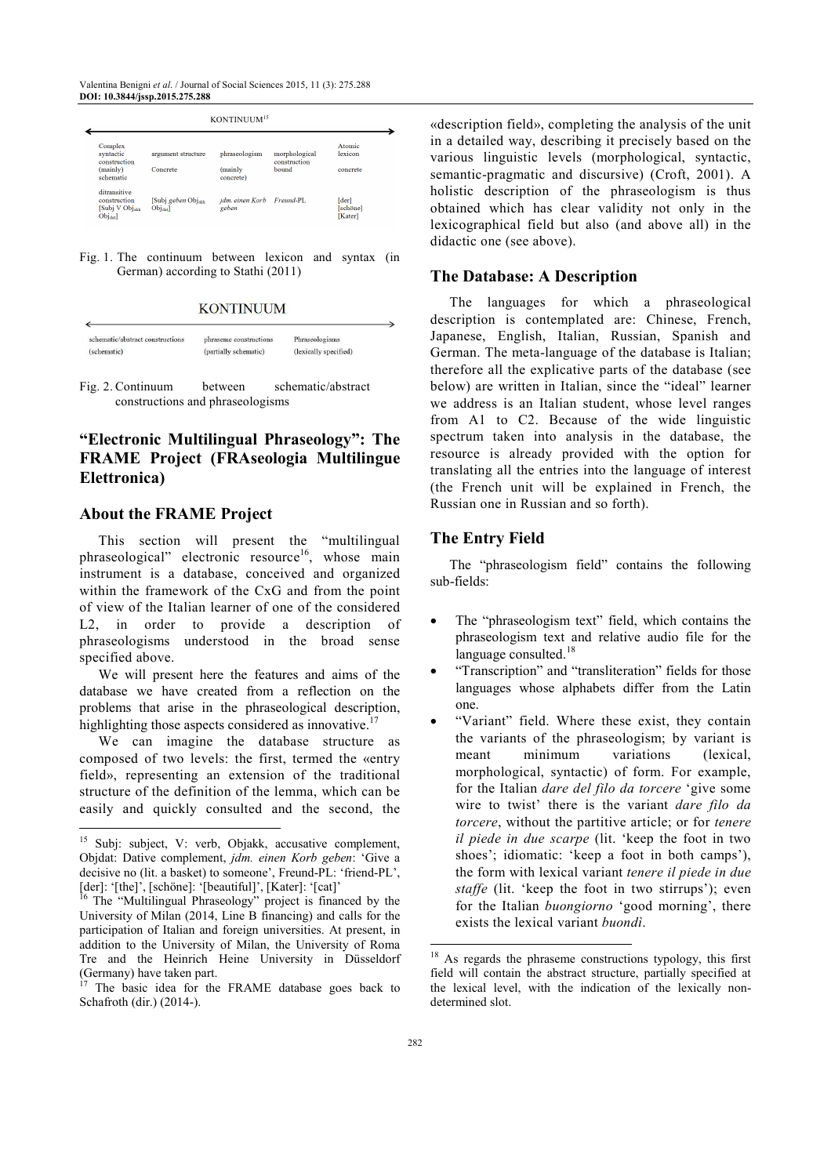Valentina Benigni *et al*. / Journal of Social Sciences 2015, 11 (3): 275.288 **DOI: 10.3844/jssp.2015.275.288**

|                                                                |                                | KONTINUUM <sup>15</sup>            |                                        |                               |  |  |
|----------------------------------------------------------------|--------------------------------|------------------------------------|----------------------------------------|-------------------------------|--|--|
| Complex<br>syntactic<br>construction                           | argument structure<br>Concrete | phraseologism                      | morphological<br>construction<br>bound | Atomic<br>lexicon<br>concrete |  |  |
| (mainly)<br>schematic                                          |                                | (mainly<br>concrete)               |                                        |                               |  |  |
| ditransitive<br>construction<br>[Subj V Objakk]<br>$Obj_{dat}$ | [Subj geben Objakk]<br>Objasl  | jdm. einen Korb Freund-PL<br>geben |                                        | [der]<br>[schöne]<br>[Kater]  |  |  |

Fig. 1. The continuum between lexicon and syntax (in German) according to Stathi (2011)

**KONTINUUM** 

| schematic/abstract constructions | phraseme constructions | Phraseologisms        |
|----------------------------------|------------------------|-----------------------|
| (schematic)                      | (partially schematic)  | (lexically specified) |

Fig. 2. Continuum between schematic/abstract constructions and phraseologisms

# **"Electronic Multilingual Phraseology": The FRAME Project (FRAseologia Multilingue Elettronica)**

#### **About the FRAME Project**

This section will present the "multilingual phraseological" electronic resource<sup>16</sup>, whose main instrument is a database, conceived and organized within the framework of the CxG and from the point of view of the Italian learner of one of the considered L2, in order to provide a description of phraseologisms understood in the broad sense specified above.

We will present here the features and aims of the database we have created from a reflection on the problems that arise in the phraseological description, highlighting those aspects considered as innovative.<sup>17</sup>

We can imagine the database structure as composed of two levels: the first, termed the «entry field», representing an extension of the traditional structure of the definition of the lemma, which can be easily and quickly consulted and the second, the  $\overline{a}$ 

«description field», completing the analysis of the unit in a detailed way, describing it precisely based on the various linguistic levels (morphological, syntactic, semantic-pragmatic and discursive) (Croft, 2001). A holistic description of the phraseologism is thus obtained which has clear validity not only in the lexicographical field but also (and above all) in the didactic one (see above).

#### **The Database: A Description**

The languages for which a phraseological description is contemplated are: Chinese, French, Japanese, English, Italian, Russian, Spanish and German. The meta-language of the database is Italian; therefore all the explicative parts of the database (see below) are written in Italian, since the "ideal" learner we address is an Italian student, whose level ranges from A1 to C2. Because of the wide linguistic spectrum taken into analysis in the database, the resource is already provided with the option for translating all the entries into the language of interest (the French unit will be explained in French, the Russian one in Russian and so forth).

#### **The Entry Field**

The "phraseologism field" contains the following sub-fields:

- The "phraseologism text" field, which contains the phraseologism text and relative audio file for the language consulted.<sup>18</sup>
- "Transcription" and "transliteration" fields for those languages whose alphabets differ from the Latin one.
- "Variant" field. Where these exist, they contain the variants of the phraseologism; by variant is meant minimum variations (lexical, morphological, syntactic) of form. For example, for the Italian *dare del filo da torcere* 'give some wire to twist' there is the variant *dare filo da torcere*, without the partitive article; or for *tenere il piede in due scarpe* (lit. 'keep the foot in two shoes'; idiomatic: 'keep a foot in both camps'), the form with lexical variant *tenere il piede in due staffe* (lit. 'keep the foot in two stirrups'); even for the Italian *buongiorno* 'good morning', there exists the lexical variant *buondì*.

<sup>&</sup>lt;sup>15</sup> Subi: subject, V: verb, Objakk, accusative complement, Objdat: Dative complement, *jdm. einen Korb geben*: 'Give a decisive no (lit. a basket) to someone', Freund-PL: 'friend-PL',  $[der]$ : '[the]', [schöne]: '[beautiful]', [Kater]: '[cat]'<br> $[6 \text{ The } 16 \text{ The } 16 \text{ The } 16 \text{ The } 16 \text{ The } 16 \text{ The } 16 \text{ The } 16 \text{ The } 16 \text{ The } 16 \text{ The } 16 \text{ The } 16 \text{ The } 16 \text{ The } 16 \text{ The } 16 \text{ The } 16 \text{ The } 16 \text{ The } 16 \text{ The } 16 \text{ The } 16 \text{ The } 16$ 

<sup>&</sup>lt;sup>16</sup> The "Multilingual Phraseology" project is financed by the University of Milan (2014, Line B financing) and calls for the participation of Italian and foreign universities. At present, in addition to the University of Milan, the University of Roma Tre and the Heinrich Heine University in Düsseldorf (Germany) have taken part.

The basic idea for the FRAME database goes back to Schafroth (dir.) (2014-).

<sup>&</sup>lt;sup>18</sup> As regards the phraseme constructions typology, this first field will contain the abstract structure, partially specified at the lexical level, with the indication of the lexically nondetermined slot.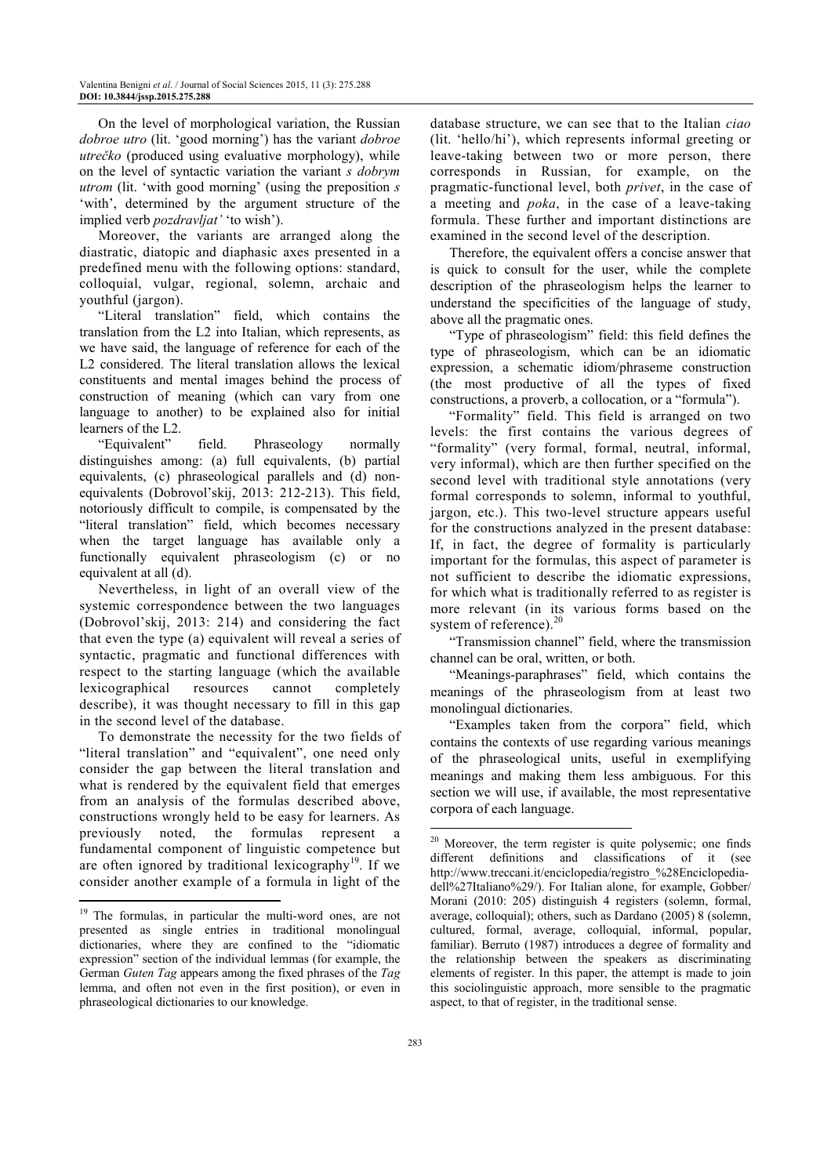On the level of morphological variation, the Russian *dobroe utro* (lit. 'good morning') has the variant *dobroe utrečko* (produced using evaluative morphology), while on the level of syntactic variation the variant *s dobrym utrom* (lit. 'with good morning' (using the preposition *s*  'with', determined by the argument structure of the implied verb *pozdravljat'* 'to wish').

Moreover, the variants are arranged along the diastratic, diatopic and diaphasic axes presented in a predefined menu with the following options: standard, colloquial, vulgar, regional, solemn, archaic and youthful (jargon).

"Literal translation" field, which contains the translation from the L2 into Italian, which represents, as we have said, the language of reference for each of the L2 considered. The literal translation allows the lexical constituents and mental images behind the process of construction of meaning (which can vary from one language to another) to be explained also for initial learners of the L2.

"Equivalent" field. Phraseology normally distinguishes among: (a) full equivalents, (b) partial equivalents, (c) phraseological parallels and (d) nonequivalents (Dobrovol'skij, 2013: 212-213). This field, notoriously difficult to compile, is compensated by the "literal translation" field, which becomes necessary when the target language has available only a functionally equivalent phraseologism (c) or no equivalent at all (d).

Nevertheless, in light of an overall view of the systemic correspondence between the two languages (Dobrovol'skij, 2013: 214) and considering the fact that even the type (a) equivalent will reveal a series of syntactic, pragmatic and functional differences with respect to the starting language (which the available lexicographical resources cannot completely describe), it was thought necessary to fill in this gap in the second level of the database.

To demonstrate the necessity for the two fields of "literal translation" and "equivalent", one need only consider the gap between the literal translation and what is rendered by the equivalent field that emerges from an analysis of the formulas described above, constructions wrongly held to be easy for learners. As previously noted, the formulas represent a fundamental component of linguistic competence but are often ignored by traditional lexicography<sup>19</sup>. If we consider another example of a formula in light of the  $\overline{a}$ 

database structure, we can see that to the Italian *ciao* (lit. 'hello/hi'), which represents informal greeting or leave-taking between two or more person, there corresponds in Russian, for example, on the pragmatic-functional level, both *privet*, in the case of a meeting and *poka*, in the case of a leave-taking formula. These further and important distinctions are examined in the second level of the description.

Therefore, the equivalent offers a concise answer that is quick to consult for the user, while the complete description of the phraseologism helps the learner to understand the specificities of the language of study, above all the pragmatic ones.

"Type of phraseologism" field: this field defines the type of phraseologism, which can be an idiomatic expression, a schematic idiom/phraseme construction (the most productive of all the types of fixed constructions, a proverb, a collocation, or a "formula").

"Formality" field. This field is arranged on two levels: the first contains the various degrees of "formality" (very formal, formal, neutral, informal, very informal), which are then further specified on the second level with traditional style annotations (very formal corresponds to solemn, informal to youthful, jargon, etc.). This two-level structure appears useful for the constructions analyzed in the present database: If, in fact, the degree of formality is particularly important for the formulas, this aspect of parameter is not sufficient to describe the idiomatic expressions, for which what is traditionally referred to as register is more relevant (in its various forms based on the system of reference). $20$ 

"Transmission channel" field, where the transmission channel can be oral, written, or both.

"Meanings-paraphrases" field, which contains the meanings of the phraseologism from at least two monolingual dictionaries.

"Examples taken from the corpora" field, which contains the contexts of use regarding various meanings of the phraseological units, useful in exemplifying meanings and making them less ambiguous. For this section we will use, if available, the most representative corpora of each language.

<sup>&</sup>lt;sup>19</sup> The formulas, in particular the multi-word ones, are not presented as single entries in traditional monolingual dictionaries, where they are confined to the "idiomatic expression" section of the individual lemmas (for example, the German *Guten Tag* appears among the fixed phrases of the *Tag* lemma, and often not even in the first position), or even in phraseological dictionaries to our knowledge.

<sup>&</sup>lt;sup>20</sup> Moreover, the term register is quite polysemic; one finds different definitions and classifications of it (see http://www.treccani.it/enciclopedia/registro\_%28Enciclopediadell%27Italiano%29/). For Italian alone, for example, Gobber/ Morani (2010: 205) distinguish 4 registers (solemn, formal, average, colloquial); others, such as Dardano (2005) 8 (solemn, cultured, formal, average, colloquial, informal, popular, familiar). Berruto (1987) introduces a degree of formality and the relationship between the speakers as discriminating elements of register. In this paper, the attempt is made to join this sociolinguistic approach, more sensible to the pragmatic aspect, to that of register, in the traditional sense.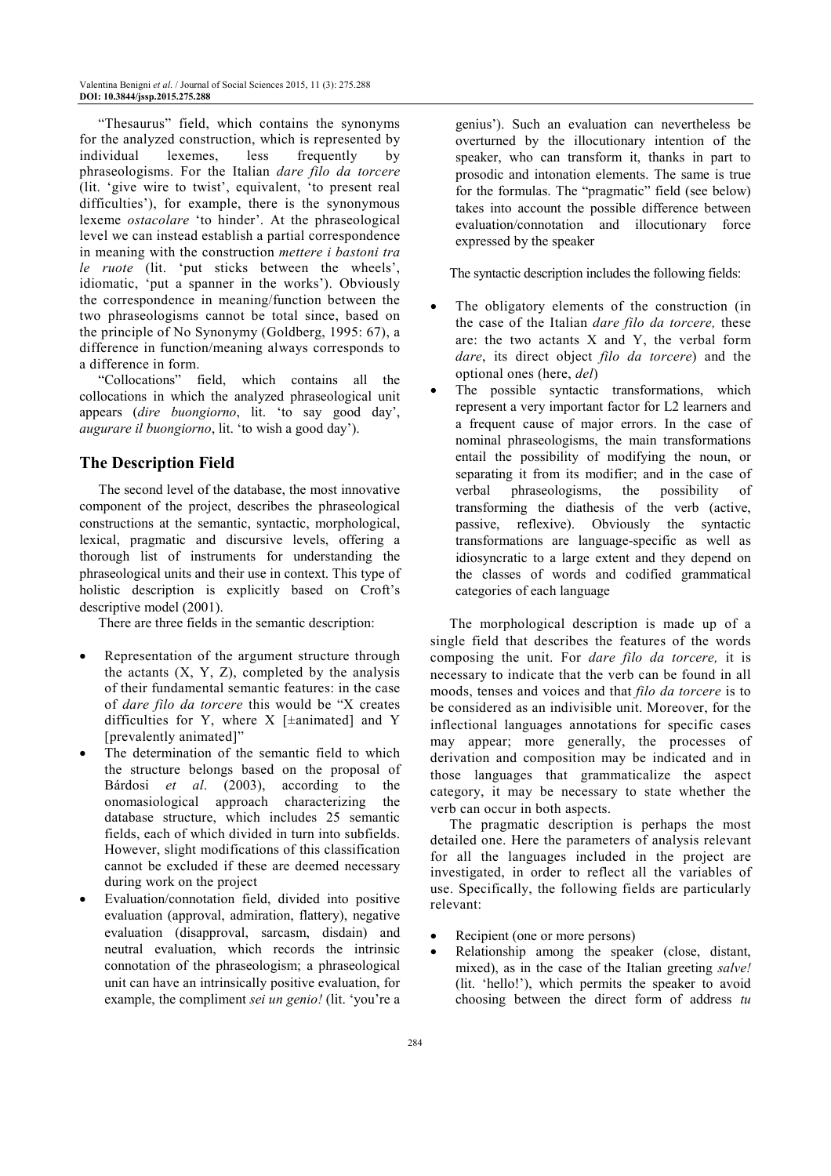"Thesaurus" field, which contains the synonyms for the analyzed construction, which is represented by individual lexemes, less frequently by phraseologisms. For the Italian *dare filo da torcere* (lit. 'give wire to twist', equivalent, 'to present real difficulties'), for example, there is the synonymous lexeme *ostacolare* 'to hinder'. At the phraseological level we can instead establish a partial correspondence in meaning with the construction *mettere i bastoni tra le ruote* (lit. 'put sticks between the wheels', idiomatic, 'put a spanner in the works'). Obviously the correspondence in meaning/function between the two phraseologisms cannot be total since, based on the principle of No Synonymy (Goldberg, 1995: 67), a difference in function/meaning always corresponds to a difference in form.

"Collocations" field, which contains all the collocations in which the analyzed phraseological unit appears (*dire buongiorno*, lit. 'to say good day', *augurare il buongiorno*, lit. 'to wish a good day').

## **The Description Field**

The second level of the database, the most innovative component of the project, describes the phraseological constructions at the semantic, syntactic, morphological, lexical, pragmatic and discursive levels, offering a thorough list of instruments for understanding the phraseological units and their use in context. This type of holistic description is explicitly based on Croft's descriptive model (2001).

There are three fields in the semantic description:

- Representation of the argument structure through the actants  $(X, Y, Z)$ , completed by the analysis of their fundamental semantic features: in the case of *dare filo da torcere* this would be "X creates difficulties for Y, where  $X$  [ $\pm$ animated] and Y [prevalently animated]"
- The determination of the semantic field to which the structure belongs based on the proposal of Bárdosi *et al*. (2003), according to the onomasiological approach characterizing the database structure, which includes 25 semantic fields, each of which divided in turn into subfields. However, slight modifications of this classification cannot be excluded if these are deemed necessary during work on the project
- Evaluation/connotation field, divided into positive evaluation (approval, admiration, flattery), negative evaluation (disapproval, sarcasm, disdain) and neutral evaluation, which records the intrinsic connotation of the phraseologism; a phraseological unit can have an intrinsically positive evaluation, for example, the compliment *sei un genio!* (lit. 'you're a

genius'). Such an evaluation can nevertheless be overturned by the illocutionary intention of the speaker, who can transform it, thanks in part to prosodic and intonation elements. The same is true for the formulas. The "pragmatic" field (see below) takes into account the possible difference between evaluation/connotation and illocutionary force expressed by the speaker

The syntactic description includes the following fields:

- The obligatory elements of the construction (in the case of the Italian *dare filo da torcere,* these are: the two actants X and Y, the verbal form *dare*, its direct object *filo da torcere*) and the optional ones (here, *del*)
- The possible syntactic transformations, which represent a very important factor for L2 learners and a frequent cause of major errors. In the case of nominal phraseologisms, the main transformations entail the possibility of modifying the noun, or separating it from its modifier; and in the case of verbal phraseologisms, the possibility of transforming the diathesis of the verb (active, passive, reflexive). Obviously the syntactic transformations are language-specific as well as idiosyncratic to a large extent and they depend on the classes of words and codified grammatical categories of each language

The morphological description is made up of a single field that describes the features of the words composing the unit. For *dare filo da torcere,* it is necessary to indicate that the verb can be found in all moods, tenses and voices and that *filo da torcere* is to be considered as an indivisible unit. Moreover, for the inflectional languages annotations for specific cases may appear; more generally, the processes of derivation and composition may be indicated and in those languages that grammaticalize the aspect category, it may be necessary to state whether the verb can occur in both aspects.

The pragmatic description is perhaps the most detailed one. Here the parameters of analysis relevant for all the languages included in the project are investigated, in order to reflect all the variables of use. Specifically, the following fields are particularly relevant:

- Recipient (one or more persons)
- Relationship among the speaker (close, distant, mixed), as in the case of the Italian greeting *salve!* (lit. 'hello!'), which permits the speaker to avoid choosing between the direct form of address *tu*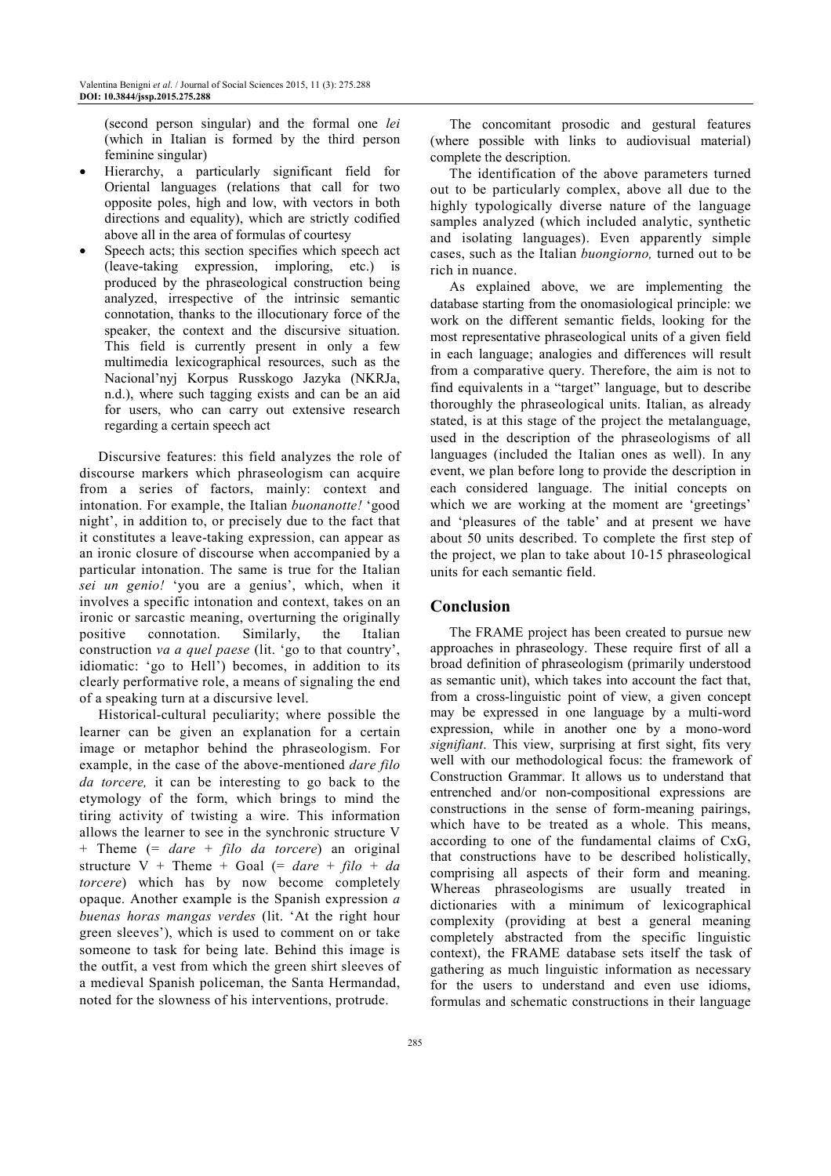(second person singular) and the formal one *lei* (which in Italian is formed by the third person feminine singular)

- Hierarchy, a particularly significant field for Oriental languages (relations that call for two opposite poles, high and low, with vectors in both directions and equality), which are strictly codified above all in the area of formulas of courtesy
- Speech acts; this section specifies which speech act (leave-taking expression, imploring, etc.) is produced by the phraseological construction being analyzed, irrespective of the intrinsic semantic connotation, thanks to the illocutionary force of the speaker, the context and the discursive situation. This field is currently present in only a few multimedia lexicographical resources, such as the Nacional'nyj Korpus Russkogo Jazyka (NKRJa, n.d.), where such tagging exists and can be an aid for users, who can carry out extensive research regarding a certain speech act

Discursive features: this field analyzes the role of discourse markers which phraseologism can acquire from a series of factors, mainly: context and intonation. For example, the Italian *buonanotte!* 'good night', in addition to, or precisely due to the fact that it constitutes a leave-taking expression, can appear as an ironic closure of discourse when accompanied by a particular intonation. The same is true for the Italian *sei un genio!* 'you are a genius', which, when it involves a specific intonation and context, takes on an ironic or sarcastic meaning, overturning the originally positive connotation. Similarly, the Italian construction *va a quel paese* (lit. 'go to that country', idiomatic: 'go to Hell') becomes, in addition to its clearly performative role, a means of signaling the end of a speaking turn at a discursive level.

Historical-cultural peculiarity; where possible the learner can be given an explanation for a certain image or metaphor behind the phraseologism. For example, in the case of the above-mentioned *dare filo da torcere,* it can be interesting to go back to the etymology of the form, which brings to mind the tiring activity of twisting a wire. This information allows the learner to see in the synchronic structure V + Theme (= *dare* + *filo da torcere*) an original structure V + Theme + Goal  $(= dare + filo + da)$ *torcere*) which has by now become completely opaque. Another example is the Spanish expression *a buenas horas mangas verdes* (lit. 'At the right hour green sleeves'), which is used to comment on or take someone to task for being late. Behind this image is the outfit, a vest from which the green shirt sleeves of a medieval Spanish policeman, the Santa Hermandad, noted for the slowness of his interventions, protrude.

The concomitant prosodic and gestural features (where possible with links to audiovisual material) complete the description.

The identification of the above parameters turned out to be particularly complex, above all due to the highly typologically diverse nature of the language samples analyzed (which included analytic, synthetic and isolating languages). Even apparently simple cases, such as the Italian *buongiorno,* turned out to be rich in nuance.

As explained above, we are implementing the database starting from the onomasiological principle: we work on the different semantic fields, looking for the most representative phraseological units of a given field in each language; analogies and differences will result from a comparative query. Therefore, the aim is not to find equivalents in a "target" language, but to describe thoroughly the phraseological units. Italian, as already stated, is at this stage of the project the metalanguage, used in the description of the phraseologisms of all languages (included the Italian ones as well). In any event, we plan before long to provide the description in each considered language. The initial concepts on which we are working at the moment are 'greetings' and 'pleasures of the table' and at present we have about 50 units described. To complete the first step of the project, we plan to take about 10-15 phraseological units for each semantic field.

#### **Conclusion**

The FRAME project has been created to pursue new approaches in phraseology. These require first of all a broad definition of phraseologism (primarily understood as semantic unit), which takes into account the fact that, from a cross-linguistic point of view, a given concept may be expressed in one language by a multi-word expression, while in another one by a mono-word *signifiant*. This view, surprising at first sight, fits very well with our methodological focus: the framework of Construction Grammar. It allows us to understand that entrenched and/or non-compositional expressions are constructions in the sense of form-meaning pairings, which have to be treated as a whole. This means, according to one of the fundamental claims of CxG, that constructions have to be described holistically, comprising all aspects of their form and meaning. Whereas phraseologisms are usually treated in dictionaries with a minimum of lexicographical complexity (providing at best a general meaning completely abstracted from the specific linguistic context), the FRAME database sets itself the task of gathering as much linguistic information as necessary for the users to understand and even use idioms, formulas and schematic constructions in their language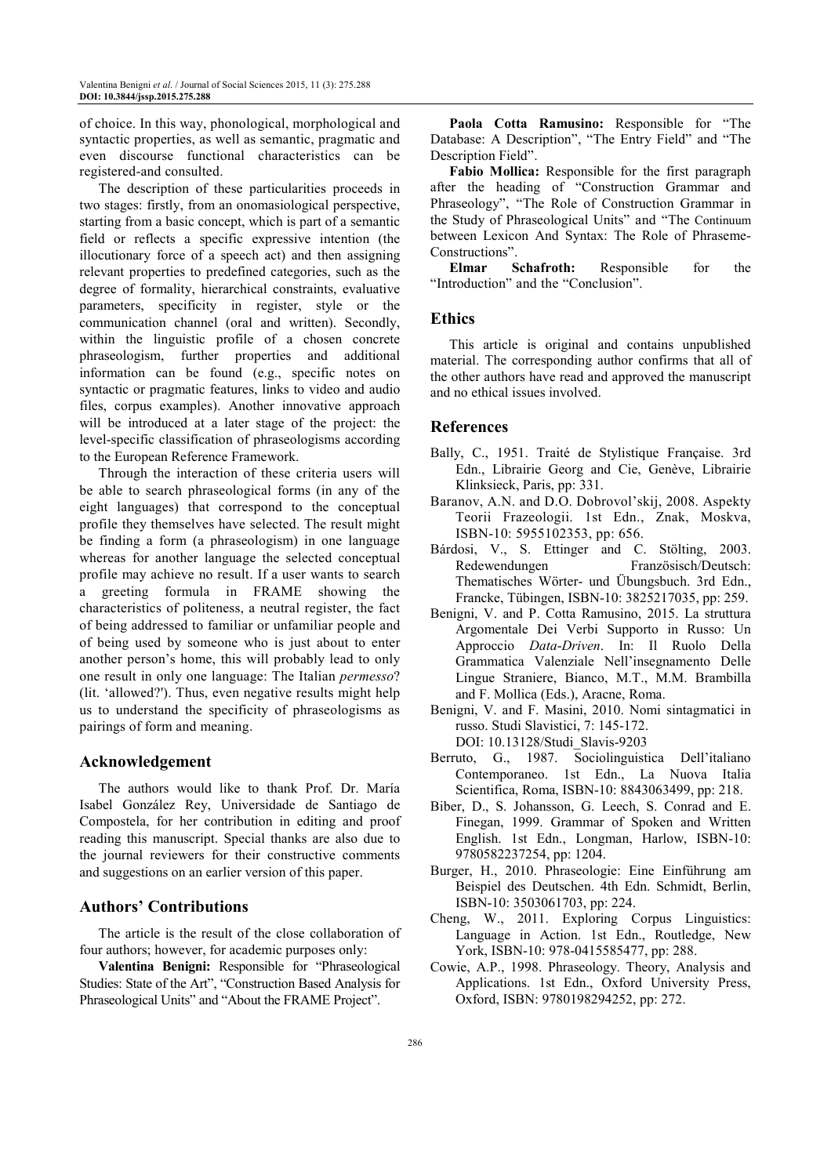of choice. In this way, phonological, morphological and syntactic properties, as well as semantic, pragmatic and even discourse functional characteristics can be registered-and consulted.

The description of these particularities proceeds in two stages: firstly, from an onomasiological perspective, starting from a basic concept, which is part of a semantic field or reflects a specific expressive intention (the illocutionary force of a speech act) and then assigning relevant properties to predefined categories, such as the degree of formality, hierarchical constraints, evaluative parameters, specificity in register, style or the communication channel (oral and written). Secondly, within the linguistic profile of a chosen concrete phraseologism, further properties and additional information can be found (e.g., specific notes on syntactic or pragmatic features, links to video and audio files, corpus examples). Another innovative approach will be introduced at a later stage of the project: the level-specific classification of phraseologisms according to the European Reference Framework.

Through the interaction of these criteria users will be able to search phraseological forms (in any of the eight languages) that correspond to the conceptual profile they themselves have selected. The result might be finding a form (a phraseologism) in one language whereas for another language the selected conceptual profile may achieve no result. If a user wants to search a greeting formula in FRAME showing the characteristics of politeness, a neutral register, the fact of being addressed to familiar or unfamiliar people and of being used by someone who is just about to enter another person's home, this will probably lead to only one result in only one language: The Italian *permesso*? (lit. 'allowed?'). Thus, even negative results might help us to understand the specificity of phraseologisms as pairings of form and meaning.

#### **Acknowledgement**

The authors would like to thank Prof. Dr. María Isabel González Rey, Universidade de Santiago de Compostela, for her contribution in editing and proof reading this manuscript. Special thanks are also due to the journal reviewers for their constructive comments and suggestions on an earlier version of this paper.

## **Authors' Contributions**

The article is the result of the close collaboration of four authors; however, for academic purposes only:

**Valentina Benigni:** Responsible for "Phraseological Studies: State of the Art", "Construction Based Analysis for Phraseological Units" and "About the FRAME Project".

**Paola Cotta Ramusino:** Responsible for "The Database: A Description", "The Entry Field" and "The Description Field".

**Fabio Mollica:** Responsible for the first paragraph after the heading of "Construction Grammar and Phraseology", "The Role of Construction Grammar in the Study of Phraseological Units" and "The Continuum between Lexicon And Syntax: The Role of Phraseme-Constructions".<br>Elmar Schafroth:

Responsible for the "Introduction" and the "Conclusion".

#### **Ethics**

This article is original and contains unpublished material. The corresponding author confirms that all of the other authors have read and approved the manuscript and no ethical issues involved.

## **References**

- Bally, C., 1951. Traité de Stylistique Française. 3rd Edn., Librairie Georg and Cie, Genève, Librairie Klinksieck, Paris, pp: 331.
- Baranov, A.N. and D.O. Dobrovol'skij, 2008. Aspekty Teorii Frazeologii. 1st Edn., Znak, Moskva, ISBN-10: 5955102353, pp: 656.
- Bárdosi, V., S. Ettinger and C. Stölting, 2003. Redewendungen Französisch/Deutsch: Thematisches Wörter- und Übungsbuch. 3rd Edn., Francke, Tübingen, ISBN-10: 3825217035, pp: 259.
- Benigni, V. and P. Cotta Ramusino, 2015. La struttura Argomentale Dei Verbi Supporto in Russo: Un Approccio *Data*-*Driven*. In: Il Ruolo Della Grammatica Valenziale Nell'insegnamento Delle Lingue Straniere, Bianco, M.T., M.M. Brambilla and F. Mollica (Eds.), Aracne, Roma.
- Benigni, V. and F. Masini, 2010. Nomi sintagmatici in russo. Studi Slavistici, 7: 145-172. DOI: 10.13128/Studi\_Slavis-9203
- Berruto, G., 1987. Sociolinguistica Dell'italiano Contemporaneo. 1st Edn., La Nuova Italia Scientifica, Roma, ISBN-10: 8843063499, pp: 218.
- Biber, D., S. Johansson, G. Leech, S. Conrad and E. Finegan, 1999. Grammar of Spoken and Written English. 1st Edn., Longman, Harlow, ISBN-10: 9780582237254, pp: 1204.
- Burger, H., 2010. Phraseologie: Eine Einführung am Beispiel des Deutschen. 4th Edn. Schmidt, Berlin, ISBN-10: 3503061703, pp: 224.
- Cheng, W., 2011. Exploring Corpus Linguistics: Language in Action. 1st Edn., Routledge, New York, ISBN-10: 978-0415585477, pp: 288.
- Cowie, A.P., 1998. Phraseology. Theory, Analysis and Applications. 1st Edn., Oxford University Press, Oxford, ISBN: 9780198294252, pp: 272.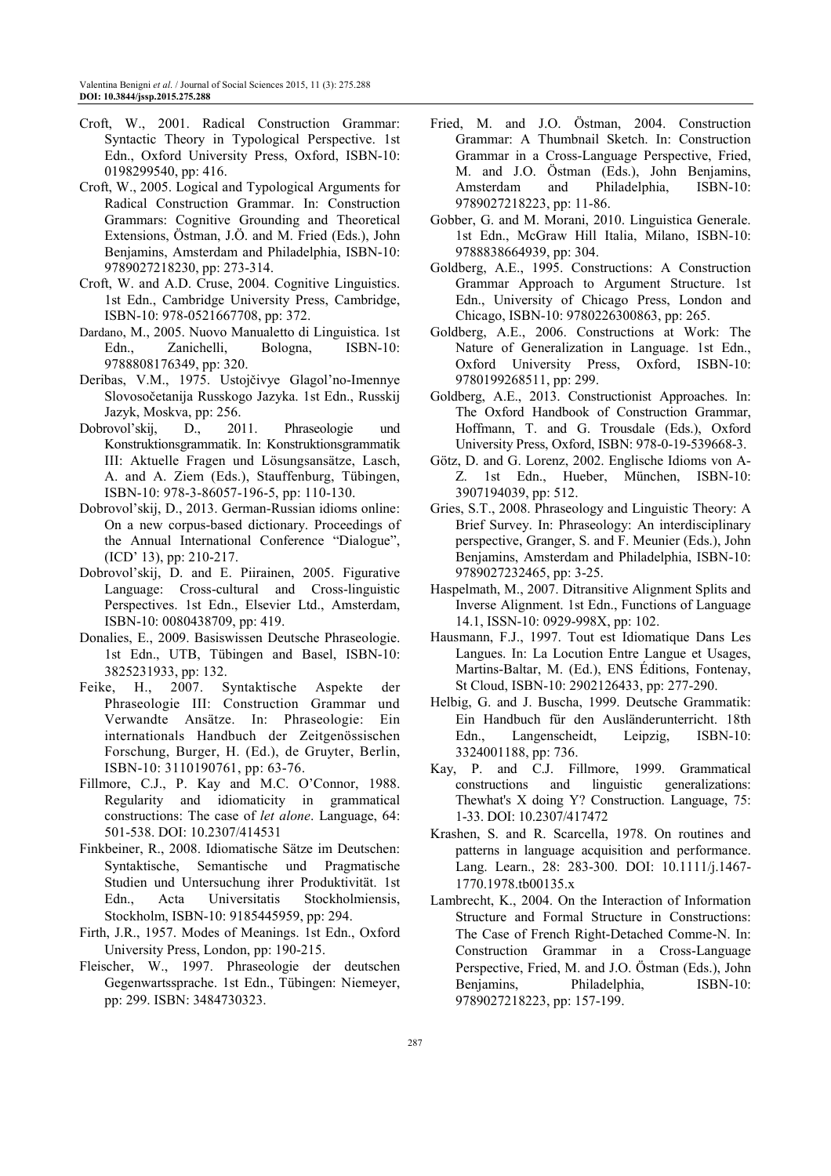- Croft, W., 2001. Radical Construction Grammar: Syntactic Theory in Typological Perspective. 1st Edn., Oxford University Press, Oxford, ISBN-10: 0198299540, pp: 416.
- Croft, W., 2005. Logical and Typological Arguments for Radical Construction Grammar. In: Construction Grammars: Cognitive Grounding and Theoretical Extensions, Östman, J.Ö. and M. Fried (Eds.), John Benjamins, Amsterdam and Philadelphia, ISBN-10: 9789027218230, pp: 273-314.
- Croft, W. and A.D. Cruse, 2004. Cognitive Linguistics. 1st Edn., Cambridge University Press, Cambridge, ISBN-10: 978-0521667708, pp: 372.
- Dardano, M., 2005. Nuovo Manualetto di Linguistica. 1st Edn., Zanichelli, Bologna, ISBN-10: 9788808176349, pp: 320.
- Deribas, V.M., 1975. Ustojčivye Glagol'no-Imennye Slovosočetanija Russkogo Jazyka. 1st Edn., Russkij Jazyk, Moskva, pp: 256.
- Dobrovol'skij, D., 2011. Phraseologie und Konstruktionsgrammatik. In: Konstruktionsgrammatik III: Aktuelle Fragen und Lösungsansätze, Lasch, A. and A. Ziem (Eds.), Stauffenburg, Tübingen, ISBN-10: 978-3-86057-196-5, pp: 110-130.
- Dobrovol'skij, D., 2013. German-Russian idioms online: On a new corpus-based dictionary. Proceedings of the Annual International Conference "Dialogue", (ICD' 13), pp: 210-217.
- Dobrovol'skij, D. and E. Piirainen, 2005. Figurative Language: Cross-cultural and Cross-linguistic Perspectives. 1st Edn., Elsevier Ltd., Amsterdam, ISBN-10: 0080438709, pp: 419.
- Donalies, E., 2009. Basiswissen Deutsche Phraseologie. 1st Edn., UTB, Tübingen and Basel, ISBN-10: 3825231933, pp: 132.
- Feike, H., 2007. Syntaktische Aspekte der Phraseologie III: Construction Grammar und Verwandte Ansätze. In: Phraseologie: Ein internationals Handbuch der Zeitgenössischen Forschung, Burger, H. (Ed.), de Gruyter, Berlin, ISBN-10: 3110190761, pp: 63-76.
- Fillmore, C.J., P. Kay and M.C. O'Connor, 1988. Regularity and idiomaticity in grammatical constructions: The case of *let alone*. Language, 64: 501-538. DOI: 10.2307/414531
- Finkbeiner, R., 2008. Idiomatische Sätze im Deutschen: Syntaktische, Semantische und Pragmatische Studien und Untersuchung ihrer Produktivität. 1st Edn., Acta Universitatis Stockholmiensis, Stockholm, ISBN-10: 9185445959, pp: 294.
- Firth, J.R., 1957. Modes of Meanings. 1st Edn., Oxford University Press, London, pp: 190-215.
- Fleischer, W., 1997. Phraseologie der deutschen Gegenwartssprache. 1st Edn., Tübingen: Niemeyer, pp: 299. ISBN: 3484730323.
- Fried, M. and J.O. Östman, 2004. Construction Grammar: A Thumbnail Sketch. In: Construction Grammar in a Cross-Language Perspective, Fried, M. and J.O. Östman (Eds.), John Benjamins, Amsterdam and Philadelphia, ISBN-10: 9789027218223, pp: 11-86.
- Gobber, G. and M. Morani, 2010. Linguistica Generale. 1st Edn., McGraw Hill Italia, Milano, ISBN-10: 9788838664939, pp: 304.
- Goldberg, A.E., 1995. Constructions: A Construction Grammar Approach to Argument Structure. 1st Edn., University of Chicago Press, London and Chicago, ISBN-10: 9780226300863, pp: 265.
- Goldberg, A.E., 2006. Constructions at Work: The Nature of Generalization in Language. 1st Edn., Oxford University Press, Oxford, ISBN-10: 9780199268511, pp: 299.
- Goldberg, A.E., 2013. Constructionist Approaches. In: The Oxford Handbook of Construction Grammar, Hoffmann, T. and G. Trousdale (Eds.), Oxford University Press, Oxford, ISBN: 978-0-19-539668-3.
- Götz, D. and G. Lorenz, 2002. Englische Idioms von A-Z. 1st Edn., Hueber, München, ISBN-10: 3907194039, pp: 512.
- Gries, S.T., 2008. Phraseology and Linguistic Theory: A Brief Survey. In: Phraseology: An interdisciplinary perspective, Granger, S. and F. Meunier (Eds.), John Benjamins, Amsterdam and Philadelphia, ISBN-10: 9789027232465, pp: 3-25.
- Haspelmath, M., 2007. Ditransitive Alignment Splits and Inverse Alignment. 1st Edn., Functions of Language 14.1, ISSN-10: 0929-998X, pp: 102.
- Hausmann, F.J., 1997. Tout est Idiomatique Dans Les Langues. In: La Locution Entre Langue et Usages, Martins-Baltar, M. (Ed.), ENS Éditions, Fontenay, St Cloud, ISBN-10: 2902126433, pp: 277-290.
- Helbig, G. and J. Buscha, 1999. Deutsche Grammatik: Ein Handbuch für den Ausländerunterricht. 18th Edn., Langenscheidt, Leipzig, ISBN-10: 3324001188, pp: 736.
- Kay, P. and C.J. Fillmore, 1999. Grammatical constructions and linguistic generalizations: Thewhat's X doing Y? Construction. Language, 75: 1-33. DOI: 10.2307/417472
- Krashen, S. and R. Scarcella, 1978. On routines and patterns in language acquisition and performance. Lang. Learn., 28: 283-300. DOI: 10.1111/j.1467- 1770.1978.tb00135.x
- Lambrecht, K., 2004. On the Interaction of Information Structure and Formal Structure in Constructions: The Case of French Right-Detached Comme-N. In: Construction Grammar in a Cross-Language Perspective, Fried, M. and J.O. Östman (Eds.), John Benjamins, Philadelphia, ISBN-10: 9789027218223, pp: 157-199.